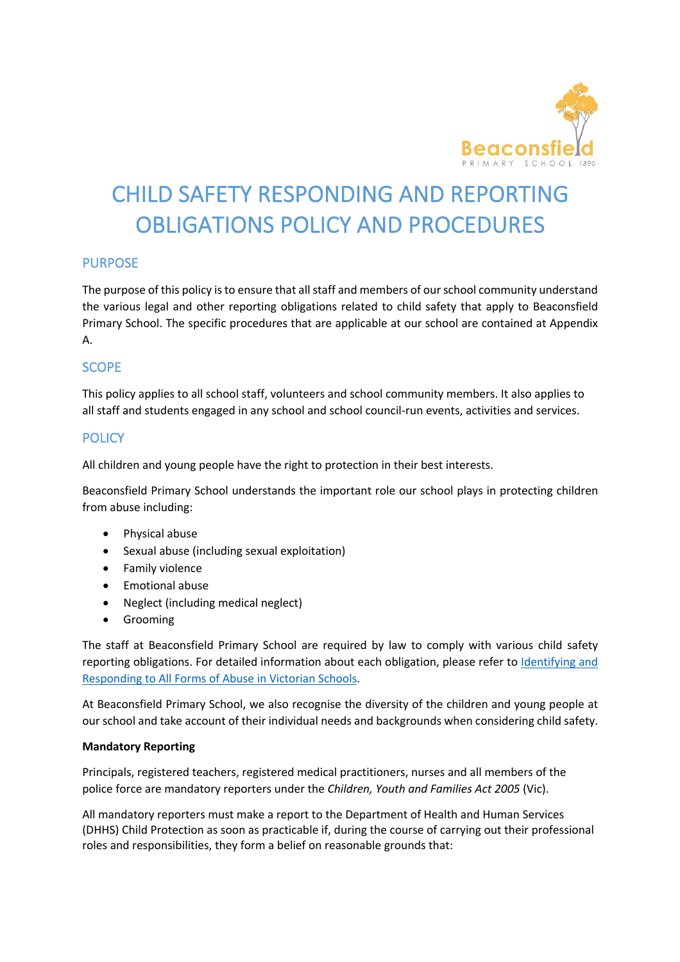

# CHILD SAFFTY RESPONDING AND REPORTING OBLIGATIONS POLICY AND PROCEDURES

# PURPOSE

The purpose of this policy is to ensure that all staff and members of our school community understand the various legal and other reporting obligations related to child safety that apply to Beaconsfield Primary School. The specific procedures that are applicable at our school are contained at Appendix A.

# SCOPE

This policy applies to all school staff, volunteers and school community members. It also applies to all staff and students engaged in any school and school council-run events, activities and services.

# **POLICY**

All children and young people have the right to protection in their best interests.

Beaconsfield Primary School understands the important role our school plays in protecting children from abuse including:

- Physical abuse
- Sexual abuse (including sexual exploitation)
- Family violence
- Emotional abuse
- Neglect (including medical neglect)
- Grooming

The staff at Beaconsfield Primary School are required by law to comply with various child safety reporting obligations. For detailed information about each obligation, please refer to Identifying and Responding to All Forms of Abuse in Victorian Schools.

At Beaconsfield Primary School, we also recognise the diversity of the children and young people at our school and take account of their individual needs and backgrounds when considering child safety.

#### **Mandatory Reporting**

Principals, registered teachers, registered medical practitioners, nurses and all members of the police force are mandatory reporters under the *Children, Youth and Families Act 2005* (Vic).

All mandatory reporters must make a report to the Department of Health and Human Services (DHHS) Child Protection as soon as practicable if, during the course of carrying out their professional roles and responsibilities, they form a belief on reasonable grounds that: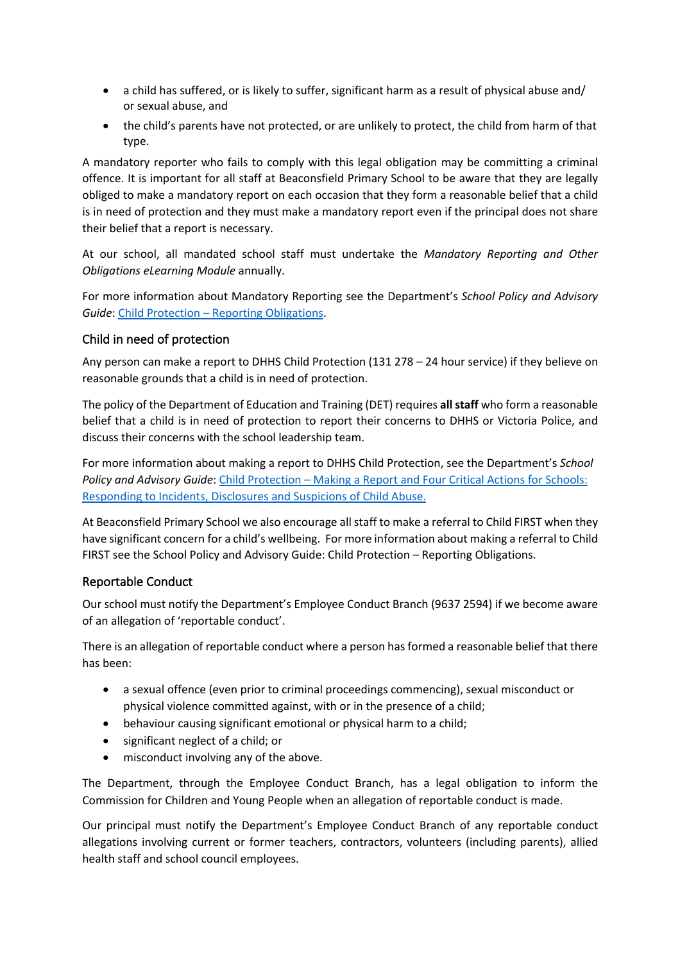- a child has suffered, or is likely to suffer, significant harm as a result of physical abuse and/ or sexual abuse, and
- the child's parents have not protected, or are unlikely to protect, the child from harm of that type.

A mandatory reporter who fails to comply with this legal obligation may be committing a criminal offence. It is important for all staff at Beaconsfield Primary School to be aware that they are legally obliged to make a mandatory report on each occasion that they form a reasonable belief that a child is in need of protection and they must make a mandatory report even if the principal does not share their belief that a report is necessary.

At our school, all mandated school staff must undertake the *Mandatory Reporting and Other Obligations eLearning Module* annually.

For more information about Mandatory Reporting see the Department's *School Policy and Advisory Guide*: Child Protection – Reporting Obligations.

## Child in need of protection

Any person can make a report to DHHS Child Protection (131 278 – 24 hour service) if they believe on reasonable grounds that a child is in need of protection.

The policy of the Department of Education and Training (DET) requires **all staff** who form a reasonable belief that a child is in need of protection to report their concerns to DHHS or Victoria Police, and discuss their concerns with the school leadership team.

For more information about making a report to DHHS Child Protection, see the Department's *School Policy and Advisory Guide*: Child Protection – Making a Report and Four Critical Actions for Schools: Responding to Incidents, Disclosures and Suspicions of Child Abuse.

At Beaconsfield Primary School we also encourage all staff to make a referral to Child FIRST when they have significant concern for a child's wellbeing. For more information about making a referral to Child FIRST see the School Policy and Advisory Guide: Child Protection – Reporting Obligations.

## Reportable Conduct

Our school must notify the Department's Employee Conduct Branch (9637 2594) if we become aware of an allegation of 'reportable conduct'.

There is an allegation of reportable conduct where a person has formed a reasonable belief that there has been:

- a sexual offence (even prior to criminal proceedings commencing), sexual misconduct or physical violence committed against, with or in the presence of a child;
- behaviour causing significant emotional or physical harm to a child;
- significant neglect of a child; or
- misconduct involving any of the above.

The Department, through the Employee Conduct Branch, has a legal obligation to inform the Commission for Children and Young People when an allegation of reportable conduct is made.

Our principal must notify the Department's Employee Conduct Branch of any reportable conduct allegations involving current or former teachers, contractors, volunteers (including parents), allied health staff and school council employees.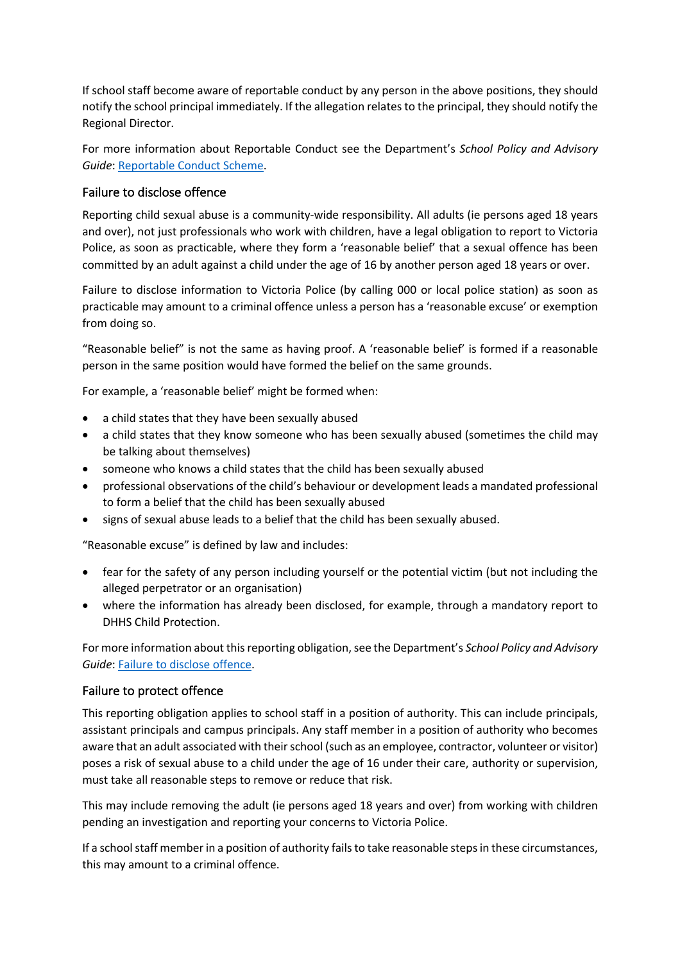If school staff become aware of reportable conduct by any person in the above positions, they should notify the school principal immediately. If the allegation relates to the principal, they should notify the Regional Director.

For more information about Reportable Conduct see the Department's *School Policy and Advisory Guide*: Reportable Conduct Scheme.

# Failure to disclose offence

Reporting child sexual abuse is a community-wide responsibility. All adults (ie persons aged 18 years and over), not just professionals who work with children, have a legal obligation to report to Victoria Police, as soon as practicable, where they form a 'reasonable belief' that a sexual offence has been committed by an adult against a child under the age of 16 by another person aged 18 years or over.

Failure to disclose information to Victoria Police (by calling 000 or local police station) as soon as practicable may amount to a criminal offence unless a person has a 'reasonable excuse' or exemption from doing so.

"Reasonable belief" is not the same as having proof. A 'reasonable belief' is formed if a reasonable person in the same position would have formed the belief on the same grounds.

For example, a 'reasonable belief' might be formed when:

- a child states that they have been sexually abused
- a child states that they know someone who has been sexually abused (sometimes the child may be talking about themselves)
- someone who knows a child states that the child has been sexually abused
- professional observations of the child's behaviour or development leads a mandated professional to form a belief that the child has been sexually abused
- signs of sexual abuse leads to a belief that the child has been sexually abused.

"Reasonable excuse" is defined by law and includes:

- fear for the safety of any person including yourself or the potential victim (but not including the alleged perpetrator or an organisation)
- where the information has already been disclosed, for example, through a mandatory report to DHHS Child Protection.

For more information about this reporting obligation, see the Department's *School Policy and Advisory Guide*: Failure to disclose offence.

## Failure to protect offence

This reporting obligation applies to school staff in a position of authority. This can include principals, assistant principals and campus principals. Any staff member in a position of authority who becomes aware that an adult associated with their school (such as an employee, contractor, volunteer or visitor) poses a risk of sexual abuse to a child under the age of 16 under their care, authority or supervision, must take all reasonable steps to remove or reduce that risk.

This may include removing the adult (ie persons aged 18 years and over) from working with children pending an investigation and reporting your concerns to Victoria Police.

If a school staff member in a position of authority fails to take reasonable steps in these circumstances, this may amount to a criminal offence.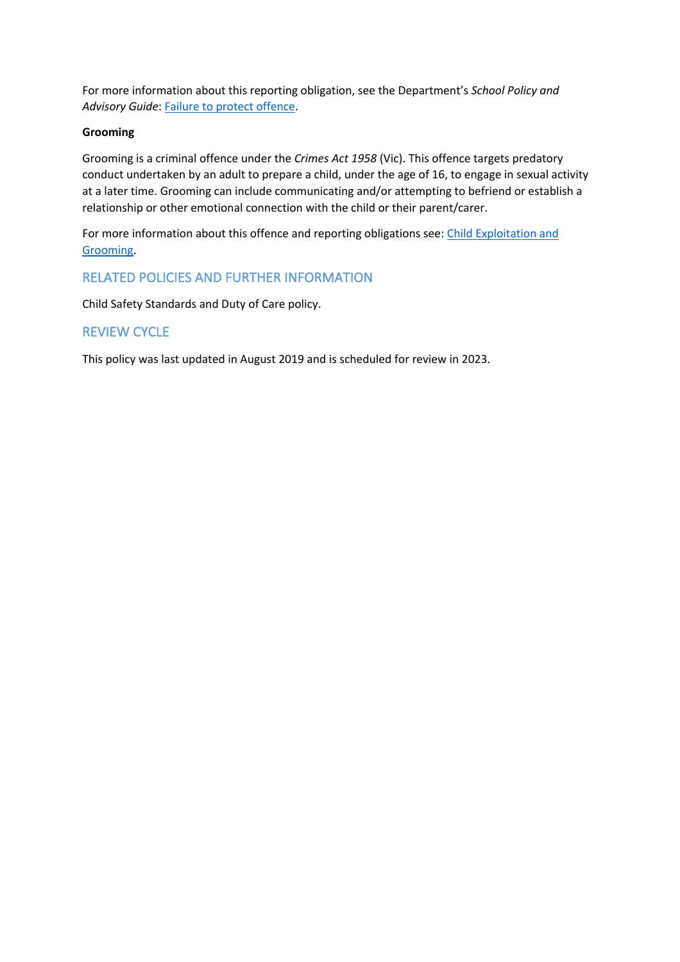For more information about this reporting obligation, see the Department's *School Policy and Advisory Guide*: Failure to protect offence.

## **Grooming**

Grooming is a criminal offence under the *Crimes Act 1958* (Vic). This offence targets predatory conduct undertaken by an adult to prepare a child, under the age of 16, to engage in sexual activity at a later time. Grooming can include communicating and/or attempting to befriend or establish a relationship or other emotional connection with the child or their parent/carer.

For more information about this offence and reporting obligations see: Child Exploitation and Grooming.

# RELATED POLICIES AND FURTHER INFORMATION

Child Safety Standards and Duty of Care policy.

# REVIEW CYCLE

This policy was last updated in August 2019 and is scheduled for review in 2023.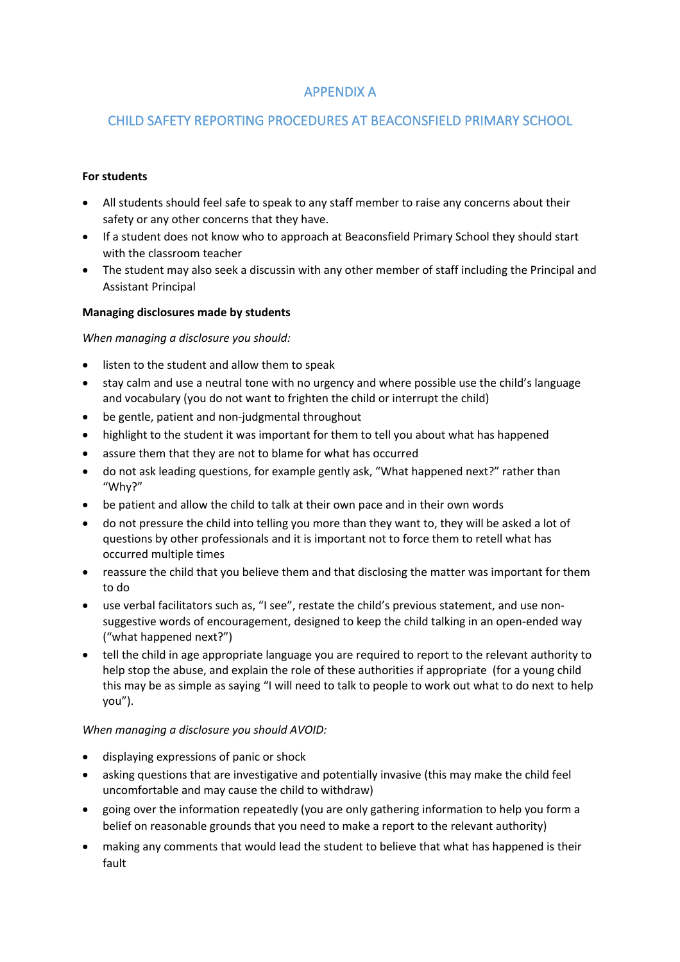# APPENDIX A

# CHILD SAFETY REPORTING PROCEDURES AT BEACONSFIELD PRIMARY SCHOOL

### **For students**

- All students should feel safe to speak to any staff member to raise any concerns about their safety or any other concerns that they have.
- If a student does not know who to approach at Beaconsfield Primary School they should start with the classroom teacher
- The student may also seek a discussin with any other member of staff including the Principal and Assistant Principal

## **Managing disclosures made by students**

#### *When managing a disclosure you should:*

- listen to the student and allow them to speak
- stay calm and use a neutral tone with no urgency and where possible use the child's language and vocabulary (you do not want to frighten the child or interrupt the child)
- be gentle, patient and non-judgmental throughout
- highlight to the student it was important for them to tell you about what has happened
- assure them that they are not to blame for what has occurred
- do not ask leading questions, for example gently ask, "What happened next?" rather than "Why?"
- be patient and allow the child to talk at their own pace and in their own words
- do not pressure the child into telling you more than they want to, they will be asked a lot of questions by other professionals and it is important not to force them to retell what has occurred multiple times
- reassure the child that you believe them and that disclosing the matter was important for them to do
- use verbal facilitators such as, "I see", restate the child's previous statement, and use nonsuggestive words of encouragement, designed to keep the child talking in an open-ended way ("what happened next?")
- tell the child in age appropriate language you are required to report to the relevant authority to help stop the abuse, and explain the role of these authorities if appropriate (for a young child this may be as simple as saying "I will need to talk to people to work out what to do next to help you").

#### *When managing a disclosure you should AVOID:*

- displaying expressions of panic or shock
- asking questions that are investigative and potentially invasive (this may make the child feel uncomfortable and may cause the child to withdraw)
- going over the information repeatedly (you are only gathering information to help you form a belief on reasonable grounds that you need to make a report to the relevant authority)
- making any comments that would lead the student to believe that what has happened is their fault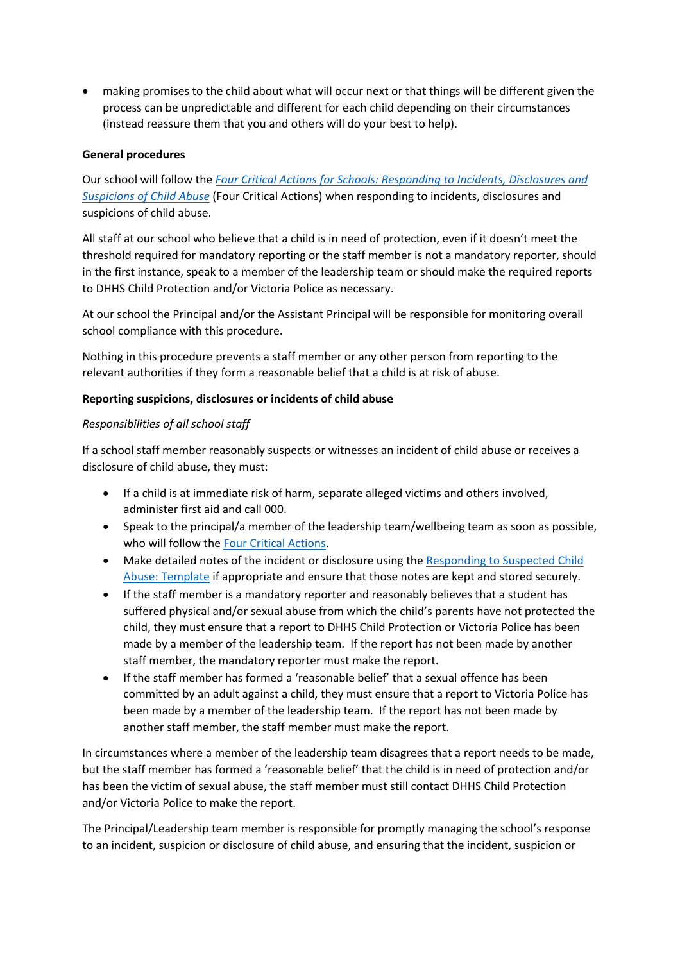• making promises to the child about what will occur next or that things will be different given the process can be unpredictable and different for each child depending on their circumstances (instead reassure them that you and others will do your best to help).

#### **General procedures**

Our school will follow the *Four Critical Actions for Schools: Responding to Incidents, Disclosures and Suspicions of Child Abuse* (Four Critical Actions) when responding to incidents, disclosures and suspicions of child abuse.

All staff at our school who believe that a child is in need of protection, even if it doesn't meet the threshold required for mandatory reporting or the staff member is not a mandatory reporter, should in the first instance, speak to a member of the leadership team or should make the required reports to DHHS Child Protection and/or Victoria Police as necessary.

At our school the Principal and/or the Assistant Principal will be responsible for monitoring overall school compliance with this procedure.

Nothing in this procedure prevents a staff member or any other person from reporting to the relevant authorities if they form a reasonable belief that a child is at risk of abuse.

#### **Reporting suspicions, disclosures or incidents of child abuse**

## *Responsibilities of all school staff*

If a school staff member reasonably suspects or witnesses an incident of child abuse or receives a disclosure of child abuse, they must:

- If a child is at immediate risk of harm, separate alleged victims and others involved, administer first aid and call 000.
- Speak to the principal/a member of the leadership team/wellbeing team as soon as possible, who will follow the Four Critical Actions.
- Make detailed notes of the incident or disclosure using the Responding to Suspected Child Abuse: Template if appropriate and ensure that those notes are kept and stored securely.
- If the staff member is a mandatory reporter and reasonably believes that a student has suffered physical and/or sexual abuse from which the child's parents have not protected the child, they must ensure that a report to DHHS Child Protection or Victoria Police has been made by a member of the leadership team. If the report has not been made by another staff member, the mandatory reporter must make the report.
- If the staff member has formed a 'reasonable belief' that a sexual offence has been committed by an adult against a child, they must ensure that a report to Victoria Police has been made by a member of the leadership team. If the report has not been made by another staff member, the staff member must make the report.

In circumstances where a member of the leadership team disagrees that a report needs to be made, but the staff member has formed a 'reasonable belief' that the child is in need of protection and/or has been the victim of sexual abuse, the staff member must still contact DHHS Child Protection and/or Victoria Police to make the report.

The Principal/Leadership team member is responsible for promptly managing the school's response to an incident, suspicion or disclosure of child abuse, and ensuring that the incident, suspicion or